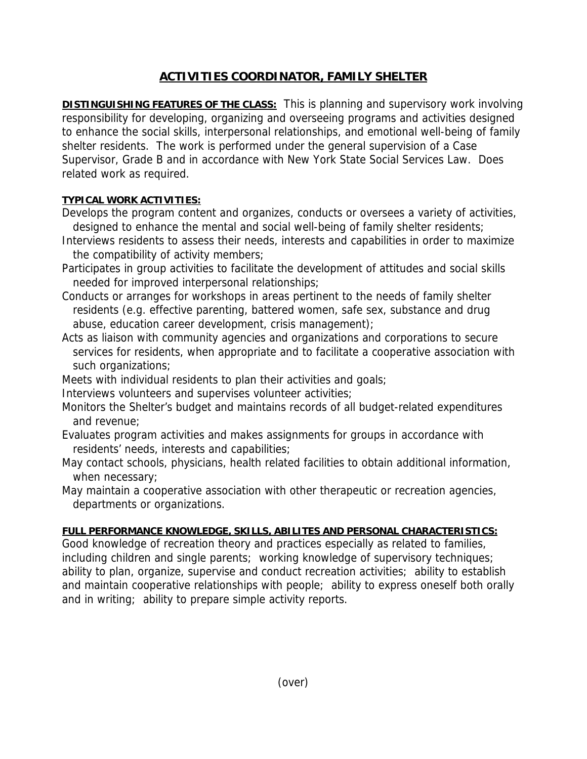## **ACTIVITIES COORDINATOR, FAMILY SHELTER**

**DISTINGUISHING FEATURES OF THE CLASS:** This is planning and supervisory work involving responsibility for developing, organizing and overseeing programs and activities designed to enhance the social skills, interpersonal relationships, and emotional well-being of family shelter residents. The work is performed under the general supervision of a Case Supervisor, Grade B and in accordance with New York State Social Services Law. Does related work as required.

## **TYPICAL WORK ACTIVITIES:**

- Develops the program content and organizes, conducts or oversees a variety of activities, designed to enhance the mental and social well-being of family shelter residents;
- Interviews residents to assess their needs, interests and capabilities in order to maximize the compatibility of activity members;
- Participates in group activities to facilitate the development of attitudes and social skills needed for improved interpersonal relationships;
- Conducts or arranges for workshops in areas pertinent to the needs of family shelter residents (e.g. effective parenting, battered women, safe sex, substance and drug abuse, education career development, crisis management);
- Acts as liaison with community agencies and organizations and corporations to secure services for residents, when appropriate and to facilitate a cooperative association with such organizations;
- Meets with individual residents to plan their activities and goals;
- Interviews volunteers and supervises volunteer activities;
- Monitors the Shelter's budget and maintains records of all budget-related expenditures and revenue;
- Evaluates program activities and makes assignments for groups in accordance with residents' needs, interests and capabilities;
- May contact schools, physicians, health related facilities to obtain additional information, when necessary;
- May maintain a cooperative association with other therapeutic or recreation agencies, departments or organizations.

## **FULL PERFORMANCE KNOWLEDGE, SKILLS, ABILITES AND PERSONAL CHARACTERISTICS:**

Good knowledge of recreation theory and practices especially as related to families, including children and single parents; working knowledge of supervisory techniques; ability to plan, organize, supervise and conduct recreation activities; ability to establish and maintain cooperative relationships with people; ability to express oneself both orally and in writing; ability to prepare simple activity reports.